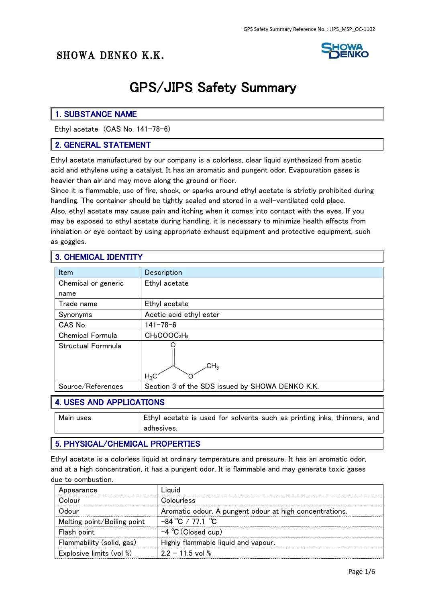# SHOWA DENKO K.K.



# GPS/JIPS Safety Summary

### 1. SUBSTANCE NAME

Ethyl acetate (CAS No. 141-78-6)

### 2. GENERAL STATEMENT

Ethyl acetate manufactured by our company is a colorless, clear liquid synthesized from acetic acid and ethylene using a catalyst. It has an aromatic and pungent odor. Evapouration gases is heavier than air and may move along the ground or floor.

Since it is flammable, use of fire, shock, or sparks around ethyl acetate is strictly prohibited during handling. The container should be tightly sealed and stored in a well-ventilated cold place.

Also, ethyl acetate may cause pain and itching when it comes into contact with the eyes. If you may be exposed to ethyl acetate during handling, it is necessary to minimize health effects from inhalation or eye contact by using appropriate exhaust equipment and protective equipment, such as goggles.

### 3. CHEMICAL IDENTITY

| Item                    | Description                                      |
|-------------------------|--------------------------------------------------|
|                         |                                                  |
| Chemical or generic     | Ethyl acetate                                    |
| name                    |                                                  |
| Trade name              | Ethyl acetate                                    |
| Synonyms                | Acetic acid ethyl ester                          |
| CAS No.                 | $141 - 78 - 6$                                   |
| <b>Chemical Formula</b> | CH <sub>3</sub> COOC <sub>2</sub> H <sub>5</sub> |
| Structual Formnula      | CH <sub>3</sub><br>$H_3C$                        |
| Source/References       | Section 3 of the SDS issued by SHOWA DENKO K.K.  |

#### 4. USES AND APPLICATIONS

Main uses **Ethyl acetate is used for solvents such as printing inks, thinners, and** adhesives.

### 5. PHYSICAL/CHEMICAL PROPERTIES

Ethyl acetate is a colorless liquid at ordinary temperature and pressure. It has an aromatic odor, and at a high concentration, it has a pungent odor. It is flammable and may generate toxic gases due to combustion.

| Appearance                  |                                                         |
|-----------------------------|---------------------------------------------------------|
|                             | Colourless                                              |
| unol)                       | Aromatic odour. A pungent odour at high concentrations. |
| Melting point/Boiling point | $-84\degree C$ / 77 1 $\degree C$                       |
| Flash point                 | $-4$ °C (Closed cup)                                    |
| Flammability (solid, gas)   | Highly flammable liquid and vapour.                     |
| Explosive limits (vol %)    | $22 - 115$ vol %                                        |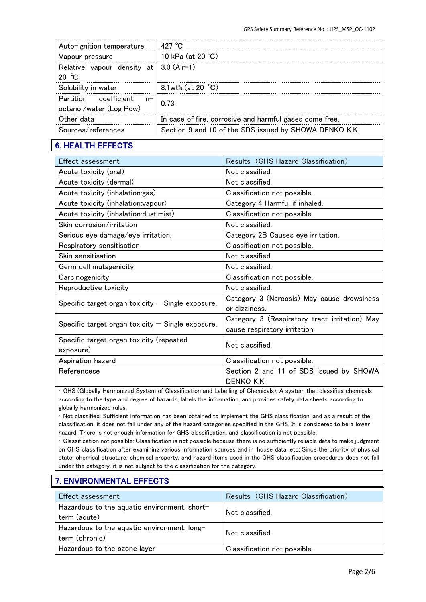| $427~\degree$ C                                         |
|---------------------------------------------------------|
| 10 kPa (at 20 $^{\circ}$ C)                             |
| Relative vapour density at $ 3.0$ (Air=1)               |
| 8.1wt% (at 20 $°C$ )                                    |
| 0.73                                                    |
| In case of fire, corrosive and harmful gases come free. |
| Section 9 and 10 of the SDS issued by SHOWA DENKO K.K.  |
|                                                         |

# 6. HEALTH EFFECTS

| Effect assessment                                   | Results (GHS Hazard Classification)                                           |
|-----------------------------------------------------|-------------------------------------------------------------------------------|
| Acute toxicity (oral)                               | Not classified.                                                               |
| Acute toxicity (dermal)                             | Not classified.                                                               |
| Acute toxicity (inhalation:gas)                     | Classification not possible.                                                  |
| Acute toxicity (inhalation: vapour)                 | Category 4 Harmful if inhaled.                                                |
| Acute toxicity (inhalation:dust,mist)               | Classification not possible.                                                  |
| Skin corrosion/irritation                           | Not classified.                                                               |
| Serious eye damage/eye irritation,                  | Category 2B Causes eye irritation.                                            |
| Respiratory sensitisation                           | Classification not possible.                                                  |
| Skin sensitisation                                  | Not classified.                                                               |
| Germ cell mutagenicity                              | Not classified.                                                               |
| Carcinogenicity                                     | Classification not possible.                                                  |
| Reproductive toxicity                               | Not classified.                                                               |
| Specific target organ toxicity $-$ Single exposure, | Category 3 (Narcosis) May cause drowsiness<br>or dizziness.                   |
| Specific target organ toxicity $-$ Single exposure, | Category 3 (Respiratory tract irritation) May<br>cause respiratory irritation |
| Specific target organ toxicity (repeated            | Not classified.                                                               |
| exposure)                                           |                                                                               |
| Aspiration hazard                                   | Classification not possible.                                                  |
| Referencese                                         | Section 2 and 11 of SDS issued by SHOWA<br>DENKO K.K.                         |

• GHS (Globally Harmonized System of Classification and Labelling of Chemicals): A system that classifies chemicals according to the type and degree of hazards, labels the information, and provides safety data sheets according to globally harmonized rules.

• Not classified: Sufficient information has been obtained to implement the GHS classification, and as a result of the classification, it does not fall under any of the hazard categories specified in the GHS. It is considered to be a lower hazard; There is not enough information for GHS classification, and classification is not possible.

• Classification not possible: Classification is not possible because there is no sufficiently reliable data to make judgment on GHS classification after examining various information sources and in-house data, etc; Since the priority of physical state, chemical structure, chemical property, and hazard items used in the GHS classification procedures does not fall under the category, it is not subject to the classification for the category.

# 7. ENVIRONMENTAL EFFECTS

| <b>Effect assessment</b>                                      | Results (GHS Hazard Classification) |
|---------------------------------------------------------------|-------------------------------------|
| Hazardous to the aquatic environment, short-<br>term (acute)  | Not classified.                     |
| Hazardous to the aquatic environment, long-<br>term (chronic) | Not classified                      |
| Hazardous to the ozone layer                                  | Classification not possible.        |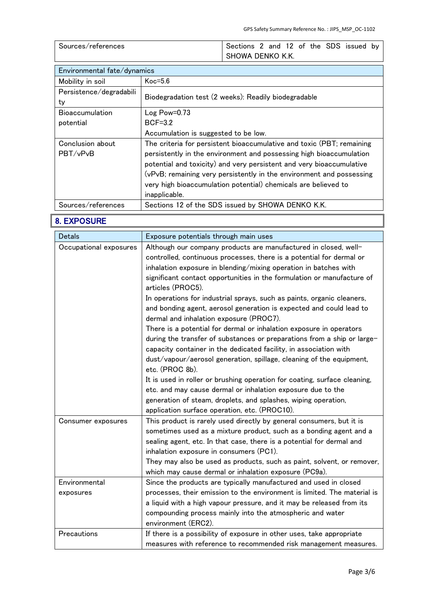| Sources/references | Sections 2 and 12 of the SDS issued by |
|--------------------|----------------------------------------|
|                    | SHOWA DENKO K.K.                       |

| Environmental fate/dynamics   |                                                                                                                                                                                                                                                                                                                                                                                 |
|-------------------------------|---------------------------------------------------------------------------------------------------------------------------------------------------------------------------------------------------------------------------------------------------------------------------------------------------------------------------------------------------------------------------------|
| Mobility in soil              | $Koc=5.6$                                                                                                                                                                                                                                                                                                                                                                       |
| Persistence/degradabili<br>ty | Biodegradation test (2 weeks): Readily biodegradable                                                                                                                                                                                                                                                                                                                            |
| <b>Bioaccumulation</b>        | Log Power0.73                                                                                                                                                                                                                                                                                                                                                                   |
| potential                     | $BCF=3.2$                                                                                                                                                                                                                                                                                                                                                                       |
|                               | Accumulation is suggested to be low.                                                                                                                                                                                                                                                                                                                                            |
| Conclusion about<br>PBT/vPvB  | The criteria for persistent bioaccumulative and toxic (PBT; remaining<br>persistently in the environment and possessing high bioaccumulation<br>potential and toxicity) and very persistent and very bioaccumulative<br>(vPvB; remaining very persistently in the environment and possessing<br>very high bioaccumulation potential) chemicals are believed to<br>inapplicable. |
| Sources/references            | Sections 12 of the SDS issued by SHOWA DENKO K.K.                                                                                                                                                                                                                                                                                                                               |

# 8. EXPOSURE

| <b>Detals</b>          | Exposure potentials through main uses                                                                                                                                                                                                                          |
|------------------------|----------------------------------------------------------------------------------------------------------------------------------------------------------------------------------------------------------------------------------------------------------------|
| Occupational exposures | Although our company products are manufactured in closed, well-                                                                                                                                                                                                |
|                        | controlled, continuous processes, there is a potential for dermal or                                                                                                                                                                                           |
|                        | inhalation exposure in blending/mixing operation in batches with                                                                                                                                                                                               |
|                        | significant contact opportunities in the formulation or manufacture of<br>articles (PROC5).                                                                                                                                                                    |
|                        | In operations for industrial sprays, such as paints, organic cleaners,<br>and bonding agent, aerosol generation is expected and could lead to<br>dermal and inhalation exposure (PROC7).                                                                       |
|                        | There is a potential for dermal or inhalation exposure in operators                                                                                                                                                                                            |
|                        | during the transfer of substances or preparations from a ship or large-<br>capacity container in the dedicated facility, in association with                                                                                                                   |
|                        | dust/vapour/aerosol generation, spillage, cleaning of the equipment,<br>etc. (PROC 8b).                                                                                                                                                                        |
|                        | It is used in roller or brushing operation for coating, surface cleaning,                                                                                                                                                                                      |
|                        | etc. and may cause dermal or inhalation exposure due to the                                                                                                                                                                                                    |
|                        | generation of steam, droplets, and splashes, wiping operation,                                                                                                                                                                                                 |
|                        | application surface operation, etc. (PROC10).                                                                                                                                                                                                                  |
| Consumer exposures     | This product is rarely used directly by general consumers, but it is<br>sometimes used as a mixture product, such as a bonding agent and a<br>sealing agent, etc. In that case, there is a potential for dermal and<br>inhalation exposure in consumers (PC1). |
|                        | They may also be used as products, such as paint, solvent, or remover,<br>which may cause dermal or inhalation exposure (PC9a).                                                                                                                                |
| Environmental          | Since the products are typically manufactured and used in closed                                                                                                                                                                                               |
| exposures              | processes, their emission to the environment is limited. The material is                                                                                                                                                                                       |
|                        | a liquid with a high vapour pressure, and it may be released from its                                                                                                                                                                                          |
|                        | compounding process mainly into the atmospheric and water                                                                                                                                                                                                      |
|                        | environment (ERC2).                                                                                                                                                                                                                                            |
| Precautions            | If there is a possibility of exposure in other uses, take appropriate                                                                                                                                                                                          |
|                        | measures with reference to recommended risk management measures.                                                                                                                                                                                               |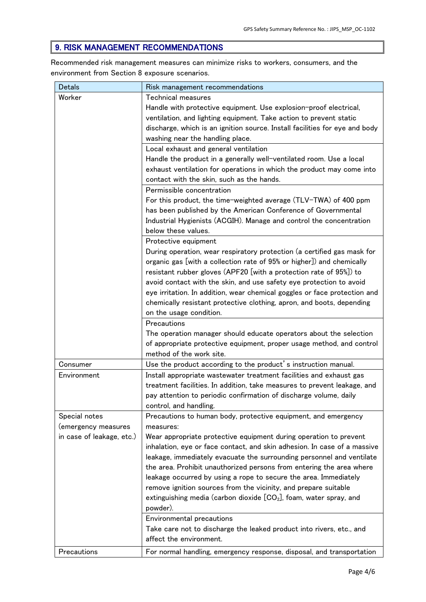### 9. RISK MANAGEMENT RECOMMENDATIONS

Recommended risk management measures can minimize risks to workers, consumers, and the environment from Section 8 exposure scenarios.

| <b>Detals</b>             | Risk management recommendations                                                                                                               |
|---------------------------|-----------------------------------------------------------------------------------------------------------------------------------------------|
| Worker                    | <b>Technical measures</b>                                                                                                                     |
|                           | Handle with protective equipment. Use explosion-proof electrical,                                                                             |
|                           | ventilation, and lighting equipment. Take action to prevent static                                                                            |
|                           | discharge, which is an ignition source. Install facilities for eye and body                                                                   |
|                           | washing near the handling place.                                                                                                              |
|                           | Local exhaust and general ventilation                                                                                                         |
|                           | Handle the product in a generally well-ventilated room. Use a local                                                                           |
|                           | exhaust ventilation for operations in which the product may come into                                                                         |
|                           | contact with the skin, such as the hands.                                                                                                     |
|                           | Permissible concentration                                                                                                                     |
|                           | For this product, the time-weighted average (TLV-TWA) of 400 ppm                                                                              |
|                           | has been published by the American Conference of Governmental                                                                                 |
|                           | Industrial Hygienists (ACGIH). Manage and control the concentration                                                                           |
|                           | below these values.                                                                                                                           |
|                           | Protective equipment                                                                                                                          |
|                           | During operation, wear respiratory protection (a certified gas mask for                                                                       |
|                           | organic gas [with a collection rate of 95% or higher]) and chemically                                                                         |
|                           | resistant rubber gloves (APF20 [with a protection rate of 95%]) to                                                                            |
|                           | avoid contact with the skin, and use safety eye protection to avoid                                                                           |
|                           | eye irritation. In addition, wear chemical goggles or face protection and                                                                     |
|                           | chemically resistant protective clothing, apron, and boots, depending                                                                         |
|                           | on the usage condition.                                                                                                                       |
|                           | Precautions                                                                                                                                   |
|                           | The operation manager should educate operators about the selection                                                                            |
|                           | of appropriate protective equipment, proper usage method, and control                                                                         |
|                           | method of the work site.                                                                                                                      |
| Consumer                  | Use the product according to the product's instruction manual.                                                                                |
| Environment               | Install appropriate wastewater treatment facilities and exhaust gas                                                                           |
|                           | treatment facilities. In addition, take measures to prevent leakage, and                                                                      |
|                           | pay attention to periodic confirmation of discharge volume, daily                                                                             |
|                           | control, and handling.                                                                                                                        |
| Special notes             | Precautions to human body, protective equipment, and emergency                                                                                |
| (emergency measures       | measures:                                                                                                                                     |
| in case of leakage, etc.) | Wear appropriate protective equipment during operation to prevent<br>inhalation, eye or face contact, and skin adhesion. In case of a massive |
|                           | leakage, immediately evacuate the surrounding personnel and ventilate                                                                         |
|                           | the area. Prohibit unauthorized persons from entering the area where                                                                          |
|                           | leakage occurred by using a rope to secure the area. Immediately                                                                              |
|                           | remove ignition sources from the vicinity, and prepare suitable                                                                               |
|                           | extinguishing media (carbon dioxide $[CO2]$ , foam, water spray, and                                                                          |
|                           | powder).                                                                                                                                      |
|                           | <b>Environmental precautions</b>                                                                                                              |
|                           | Take care not to discharge the leaked product into rivers, etc., and                                                                          |
|                           | affect the environment.                                                                                                                       |
| Precautions               | For normal handling, emergency response, disposal, and transportation                                                                         |
|                           |                                                                                                                                               |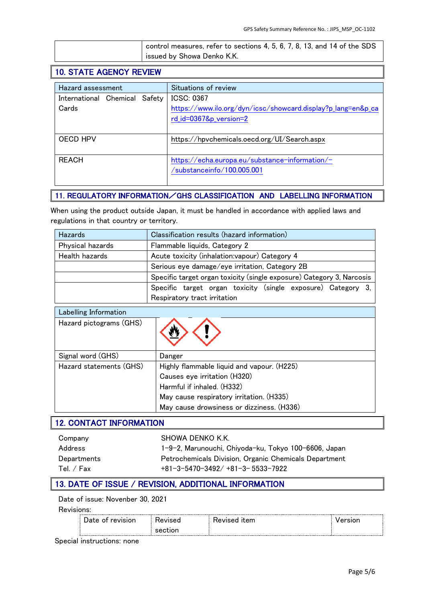| control measures, refer to sections 4, 5, 6, 7, 8, 13, and 14 of the SDS |
|--------------------------------------------------------------------------|
| issued by Showa Denko K.K.                                               |

# 10. STATE AGENCY REVIEW

| Hazard assessment             | Situations of review                                         |
|-------------------------------|--------------------------------------------------------------|
| International Chemical Safety | ICSC: 0367                                                   |
| Cards                         | https://www.ilo.org/dyn/icsc/showcard.display?p_lang=en&p_ca |
|                               | rd_id=0367&p_version=2                                       |
|                               |                                                              |
| OECD HPV                      | https://hpvchemicals.oecd.org/UI/Search.aspx                 |
|                               |                                                              |
| <b>REACH</b>                  | https://echa.europa.eu/substance-information/-               |
|                               | /substanceinfo/100.005.001                                   |
|                               |                                                              |

### 11. REGULATORY INFORMATION/GHS CLASSIFICATION AND LABELLING INFORMATION

When using the product outside Japan, it must be handled in accordance with applied laws and regulations in that country or territory.

| <b>Hazards</b>   | Classification results (hazard information)                           |
|------------------|-----------------------------------------------------------------------|
| Physical hazards | Flammable liquids, Category 2                                         |
| Health hazards   | Acute toxicity (inhalation: vapour) Category 4                        |
|                  | Serious eye damage/eye irritation, Category 2B                        |
|                  | Specific target organ toxicity (single exposure) Category 3, Narcosis |
|                  | Specific target organ toxicity (single exposure) Category 3,          |
|                  | Respiratory tract irritation                                          |

| Labelling Information   |                                            |
|-------------------------|--------------------------------------------|
| Hazard pictograms (GHS) |                                            |
| Signal word (GHS)       | Danger                                     |
| Hazard statements (GHS) | Highly flammable liquid and vapour. (H225) |
|                         | Causes eye irritation (H320)               |
|                         | Harmful if inhaled. (H332)                 |
|                         | May cause respiratory irritation. (H335)   |
|                         | May cause drowsiness or dizziness. (H336)  |

### 12. CONTACT INFORMATION

| Company     | SHOWA DENKO K.K.                                      |
|-------------|-------------------------------------------------------|
| Address     | 1-9-2, Marunouchi, Chiyoda-ku, Tokyo 100-6606, Japan  |
| Departments | Petrochemicals Division, Organic Chemicals Department |
| Tel. / Fax  | $+81 - 3 - 5470 - 3492/ + 81 - 3 - 5533 - 7922$       |

### 13. DATE OF ISSUE / REVISION, ADDITIONAL INFORMATION

#### Date of issue: Novenber 30, 2021

Revisions:

Special instructions: none